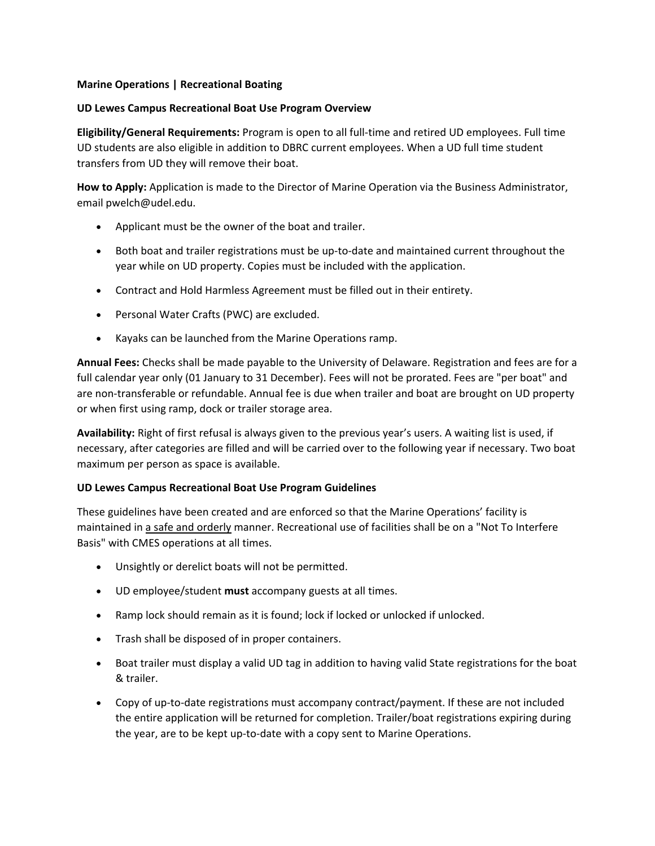## **Marine Operations | Recreational Boating**

## **UD Lewes Campus Recreational Boat Use Program Overview**

**Eligibility/General Requirements:** Program is open to all full-time and retired UD employees. Full time UD students are also eligible in addition to DBRC current employees. When a UD full time student transfers from UD they will remove their boat.

**How to Apply:** Application is made to the Director of Marine Operation via the Business Administrator, email pwelch@udel.edu.

- Applicant must be the owner of the boat and trailer.
- Both boat and trailer registrations must be up-to-date and maintained current throughout the year while on UD property. Copies must be included with the application.
- Contract and Hold Harmless Agreement must be filled out in their entirety.
- Personal Water Crafts (PWC) are excluded.
- Kayaks can be launched from the Marine Operations ramp.

**Annual Fees:** Checks shall be made payable to the University of Delaware. Registration and fees are for a full calendar year only (01 January to 31 December). Fees will not be prorated. Fees are "per boat" and are non-transferable or refundable. Annual fee is due when trailer and boat are brought on UD property or when first using ramp, dock or trailer storage area.

**Availability:** Right of first refusal is always given to the previous year's users. A waiting list is used, if necessary, after categories are filled and will be carried over to the following year if necessary. Two boat maximum per person as space is available.

## **UD Lewes Campus Recreational Boat Use Program Guidelines**

These guidelines have been created and are enforced so that the Marine Operations' facility is maintained in a safe and orderly manner. Recreational use of facilities shall be on a "Not To Interfere Basis" with CMES operations at all times.

- Unsightly or derelict boats will not be permitted.
- UD employee/student **must** accompany guests at all times.
- Ramp lock should remain as it is found; lock if locked or unlocked if unlocked.
- Trash shall be disposed of in proper containers.
- Boat trailer must display a valid UD tag in addition to having valid State registrations for the boat & trailer.
- Copy of up-to-date registrations must accompany contract/payment. If these are not included the entire application will be returned for completion. Trailer/boat registrations expiring during the year, are to be kept up-to-date with a copy sent to Marine Operations.